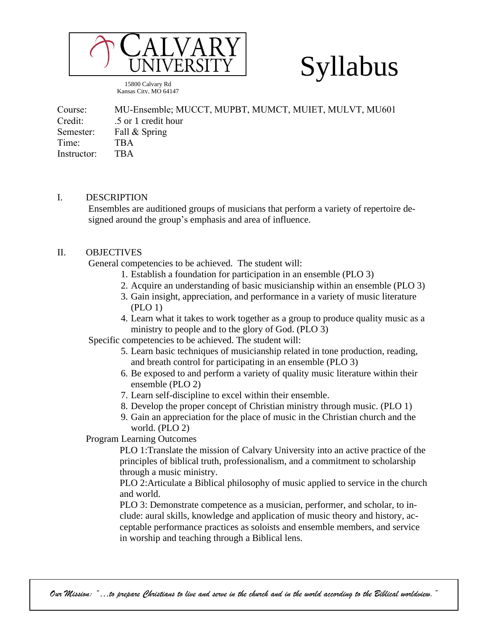

15800 Calvary Rd Kansas City, MO 64147

# Syllabus

Course: MU-Ensemble; MUCCT, MUPBT, MUMCT, MUIET, MULVT, MU601 Credit: .5 or 1 credit hour Semester: Fall & Spring Time: TBA Instructor: TBA

#### I. DESCRIPTION

Ensembles are auditioned groups of musicians that perform a variety of repertoire designed around the group's emphasis and area of influence.

#### II. OBJECTIVES

General competencies to be achieved. The student will:

- 1. Establish a foundation for participation in an ensemble (PLO 3)
- 2. Acquire an understanding of basic musicianship within an ensemble (PLO 3)
- 3. Gain insight, appreciation, and performance in a variety of music literature (PLO 1)
- 4. Learn what it takes to work together as a group to produce quality music as a ministry to people and to the glory of God. (PLO 3)

Specific competencies to be achieved. The student will:

- 5. Learn basic techniques of musicianship related in tone production, reading, and breath control for participating in an ensemble (PLO 3)
- 6. Be exposed to and perform a variety of quality music literature within their ensemble (PLO 2)
- 7. Learn self-discipline to excel within their ensemble.
- 8. Develop the proper concept of Christian ministry through music. (PLO 1)
- 9. Gain an appreciation for the place of music in the Christian church and the world. (PLO 2)

Program Learning Outcomes

PLO 1:Translate the mission of Calvary University into an active practice of the principles of biblical truth, professionalism, and a commitment to scholarship through a music ministry.

PLO 2:Articulate a Biblical philosophy of music applied to service in the church and world.

PLO 3: Demonstrate competence as a musician, performer, and scholar, to include: aural skills, knowledge and application of music theory and history, acceptable performance practices as soloists and ensemble members, and service in worship and teaching through a Biblical lens.

" . Our Mission: "…to prepare Christians to live and serve in the church and in the world according to the Biblical worldview.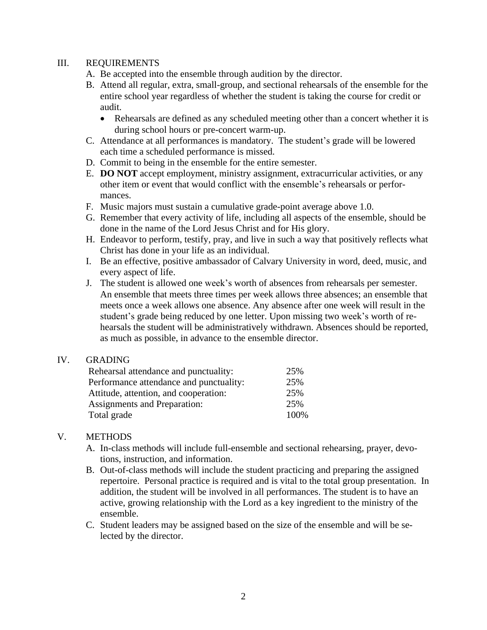#### III. REQUIREMENTS

- A. Be accepted into the ensemble through audition by the director.
- B. Attend all regular, extra, small-group, and sectional rehearsals of the ensemble for the entire school year regardless of whether the student is taking the course for credit or audit.
	- Rehearsals are defined as any scheduled meeting other than a concert whether it is during school hours or pre-concert warm-up.
- C. Attendance at all performances is mandatory. The student's grade will be lowered each time a scheduled performance is missed.
- D. Commit to being in the ensemble for the entire semester.
- E. **DO NOT** accept employment, ministry assignment, extracurricular activities, or any other item or event that would conflict with the ensemble's rehearsals or performances.
- F. Music majors must sustain a cumulative grade-point average above 1.0.
- G. Remember that every activity of life, including all aspects of the ensemble, should be done in the name of the Lord Jesus Christ and for His glory.
- H. Endeavor to perform, testify, pray, and live in such a way that positively reflects what Christ has done in your life as an individual.
- I. Be an effective, positive ambassador of Calvary University in word, deed, music, and every aspect of life.
- J. The student is allowed one week's worth of absences from rehearsals per semester. An ensemble that meets three times per week allows three absences; an ensemble that meets once a week allows one absence. Any absence after one week will result in the student's grade being reduced by one letter. Upon missing two week's worth of rehearsals the student will be administratively withdrawn. Absences should be reported, as much as possible, in advance to the ensemble director.

#### IV. GRADING

| Rehearsal attendance and punctuality:   | 25%   |
|-----------------------------------------|-------|
| Performance attendance and punctuality: | 25%   |
| Attitude, attention, and cooperation:   | 25%   |
| Assignments and Preparation:            | 25%   |
| Total grade                             | 100\% |

## V. METHODS

- A. In-class methods will include full-ensemble and sectional rehearsing, prayer, devotions, instruction, and information.
- B. Out-of-class methods will include the student practicing and preparing the assigned repertoire. Personal practice is required and is vital to the total group presentation. In addition, the student will be involved in all performances. The student is to have an active, growing relationship with the Lord as a key ingredient to the ministry of the ensemble.
- C. Student leaders may be assigned based on the size of the ensemble and will be selected by the director.